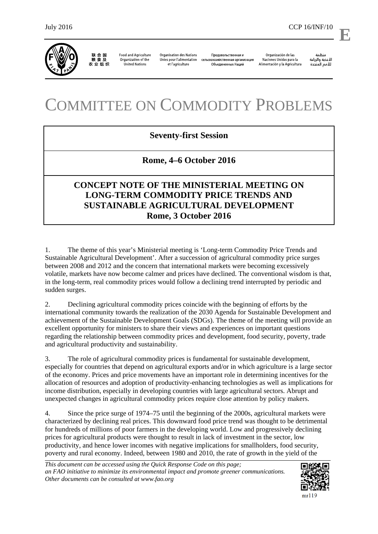

联合国<br>粮食及 农业组织

**Food and Agriculture** Organization of the **United Nations** 

**Organisation des Nations** et l'agriculture

Продовольственная и Unies pour l'alimentation сельскохозяйственная организация Объединенных Наций

Organización de las Naciones Unidas para la Alimentación y la Agricultura

منظمة مسمه<br>الأغذية والزراعة<br>للأمم المتحدة

l,

## COMMITTEE ON COMMODITY PROBLEMS

## **Seventy-first Session**

## **Rome, 4–6 October 2016**

## **CONCEPT NOTE OF THE MINISTERIAL MEETING ON LONG-TERM COMMODITY PRICE TRENDS AND SUSTAINABLE AGRICULTURAL DEVELOPMENT Rome, 3 October 2016**

1. The theme of this year's Ministerial meeting is 'Long-term Commodity Price Trends and Sustainable Agricultural Development'. After a succession of agricultural commodity price surges between 2008 and 2012 and the concern that international markets were becoming excessively volatile, markets have now become calmer and prices have declined. The conventional wisdom is that, in the long-term, real commodity prices would follow a declining trend interrupted by periodic and sudden surges.

2. Declining agricultural commodity prices coincide with the beginning of efforts by the international community towards the realization of the 2030 Agenda for Sustainable Development and achievement of the Sustainable Development Goals (SDGs). The theme of the meeting will provide an excellent opportunity for ministers to share their views and experiences on important questions regarding the relationship between commodity prices and development, food security, poverty, trade and agricultural productivity and sustainability.

3. The role of agricultural commodity prices is fundamental for sustainable development, especially for countries that depend on agricultural exports and/or in which agriculture is a large sector of the economy. Prices and price movements have an important role in determining incentives for the allocation of resources and adoption of productivity-enhancing technologies as well as implications for income distribution, especially in developing countries with large agricultural sectors. Abrupt and unexpected changes in agricultural commodity prices require close attention by policy makers.

4. Since the price surge of 1974–75 until the beginning of the 2000s, agricultural markets were characterized by declining real prices. This downward food price trend was thought to be detrimental for hundreds of millions of poor farmers in the developing world. Low and progressively declining prices for agricultural products were thought to result in lack of investment in the sector, low productivity, and hence lower incomes with negative implications for smallholders, food security, poverty and rural economy. Indeed, between 1980 and 2010, the rate of growth in the yield of the

*This document can be accessed using the Quick Response Code on this page; an FAO initiative to minimize its environmental impact and promote greener communications. Other documents can be consulted at www.fao.org* 



**E**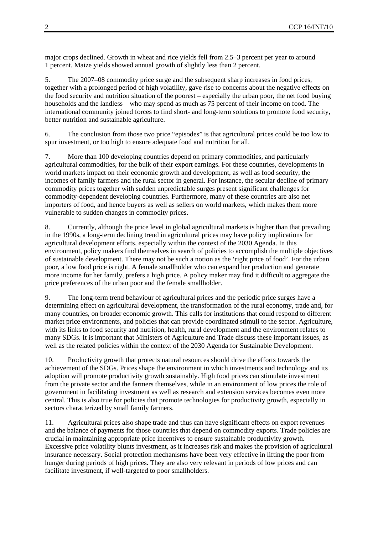major crops declined. Growth in wheat and rice yields fell from 2.5–3 percent per year to around 1 percent. Maize yields showed annual growth of slightly less than 2 percent.

5. The 2007–08 commodity price surge and the subsequent sharp increases in food prices, together with a prolonged period of high volatility, gave rise to concerns about the negative effects on the food security and nutrition situation of the poorest – especially the urban poor, the net food buying households and the landless – who may spend as much as 75 percent of their income on food. The international community joined forces to find short- and long-term solutions to promote food security, better nutrition and sustainable agriculture.

6. The conclusion from those two price "episodes" is that agricultural prices could be too low to spur investment, or too high to ensure adequate food and nutrition for all.

7. More than 100 developing countries depend on primary commodities, and particularly agricultural commodities, for the bulk of their export earnings. For these countries, developments in world markets impact on their economic growth and development, as well as food security, the incomes of family farmers and the rural sector in general. For instance, the secular decline of primary commodity prices together with sudden unpredictable surges present significant challenges for commodity-dependent developing countries. Furthermore, many of these countries are also net importers of food, and hence buyers as well as sellers on world markets, which makes them more vulnerable to sudden changes in commodity prices.

8. Currently, although the price level in global agricultural markets is higher than that prevailing in the 1990s, a long-term declining trend in agricultural prices may have policy implications for agricultural development efforts, especially within the context of the 2030 Agenda. In this environment, policy makers find themselves in search of policies to accomplish the multiple objectives of sustainable development. There may not be such a notion as the 'right price of food'. For the urban poor, a low food price is right. A female smallholder who can expand her production and generate more income for her family, prefers a high price. A policy maker may find it difficult to aggregate the price preferences of the urban poor and the female smallholder.

9. The long-term trend behaviour of agricultural prices and the periodic price surges have a determining effect on agricultural development, the transformation of the rural economy, trade and, for many countries, on broader economic growth. This calls for institutions that could respond to different market price environments, and policies that can provide coordinated stimuli to the sector. Agriculture, with its links to food security and nutrition, health, rural development and the environment relates to many SDGs. It is important that Ministers of Agriculture and Trade discuss these important issues, as well as the related policies within the context of the 2030 Agenda for Sustainable Development.

10. Productivity growth that protects natural resources should drive the efforts towards the achievement of the SDGs. Prices shape the environment in which investments and technology and its adoption will promote productivity growth sustainably. High food prices can stimulate investment from the private sector and the farmers themselves, while in an environment of low prices the role of government in facilitating investment as well as research and extension services becomes even more central. This is also true for policies that promote technologies for productivity growth, especially in sectors characterized by small family farmers.

11. Agricultural prices also shape trade and thus can have significant effects on export revenues and the balance of payments for those countries that depend on commodity exports. Trade policies are crucial in maintaining appropriate price incentives to ensure sustainable productivity growth. Excessive price volatility blunts investment, as it increases risk and makes the provision of agricultural insurance necessary. Social protection mechanisms have been very effective in lifting the poor from hunger during periods of high prices. They are also very relevant in periods of low prices and can facilitate investment, if well-targeted to poor smallholders.